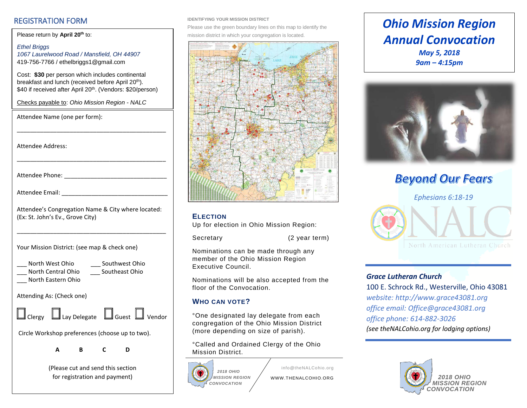### REGISTRATION FORM

Please return by April 20<sup>th</sup> to:

Attendee Name (one per form):

*Ethel Briggs 1067 Laurelwood Road / Mansfield, OH 44907* 419-756-7766 / ethelbriggs1@gmail.com

Cost: **\$30** per person which includes continental breakfast and lunch (received before April 20<sup>th</sup>). \$40 if received after April 20<sup>th</sup>. (Vendors: \$20/person)

Checks payable to: *Ohio Mission Region - NALC*

| <b>Attendee Address:</b>                                                                              |
|-------------------------------------------------------------------------------------------------------|
|                                                                                                       |
|                                                                                                       |
| Attendee's Congregation Name & City where located:<br>(Ex: St. John's Ev., Grove City)                |
| Your Mission District: (see map & check one)                                                          |
| North West Ohio<br>__ Southwest Ohio<br>Southeast Ohio<br>__ North Central Ohio<br>North Eastern Ohio |
| Attending As: (Check one)                                                                             |
| $\Box$ Clergy $\Box$ Lay Delegate $\Box$ Guest $\Box$ Vendor                                          |
| Circle Workshop preferences (choose up to two).                                                       |
| В<br>C<br>A<br>D                                                                                      |
| (Please cut and send this section<br>for registration and payment)                                    |

#### **IDENTIFYING YOUR MISSION DISTRICT**

Please use the green boundary lines on this map to identify the mission district in which your congregation is located.



#### **ELECTION**

Up for election in Ohio Mission Region:

Secretary (2 year term)

Nominations can be made through any member of the Ohio Mission Region Executive Council.

Nominations will be also accepted from the floor of the Convocation.

### **WHO CAN VOTE?**

°One designated lay delegate from each congregation of the Ohio Mission District (more depending on size of parish).

°Called and Ordained Clergy of the Ohio Mission District.



info@theNALCohio.org WWW.THENALCOHIO.ORG

### *Ohio Mission Region Annual Convocation May 5, 2018 9am – 4:15pm*



**Beyond Our Fears** 



#### *Grace Lutheran Church*

100 E. Schrock Rd., Westerville, Ohio 43081 *website: http:/[/www.grace43081.org](http://www.grace43081.org/) office email: [Office@grace43081.org](mailto:Office@grace43081.org) office phone: 614-882-3026 (see theNALCohio.org for lodging options)*